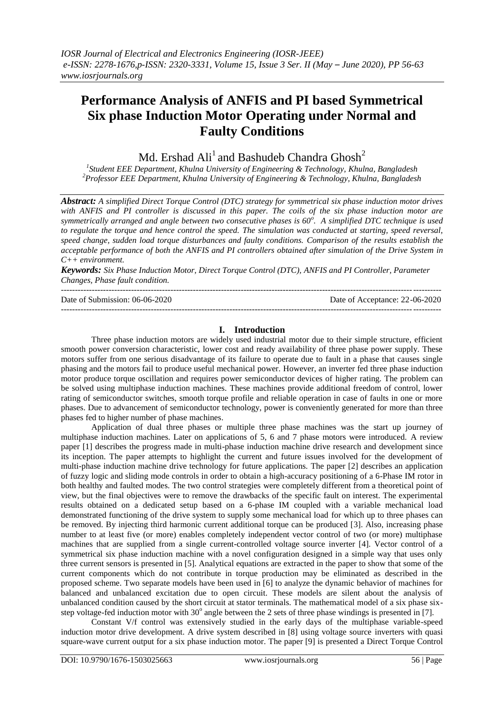# **Performance Analysis of ANFIS and PI based Symmetrical Six phase Induction Motor Operating under Normal and Faulty Conditions**

Md. Ershad Ali $^{\rm l}$  and Bashudeb Chandra Ghosh $^{\rm 2}$ 

*1 Student EEE Department, Khulna University of Engineering & Technology, Khulna, Bangladesh <sup>2</sup>Professor EEE Department, Khulna University of Engineering & Technology, Khulna, Bangladesh*

*Abstract: A simplified Direct Torque Control (DTC) strategy for symmetrical six phase induction motor drives with ANFIS and PI controller is discussed in this paper. The coils of the six phase induction motor are symmetrically arranged and angle between two consecutive phases is 60<sup>o</sup> . A simplified DTC technique is used to regulate the torque and hence control the speed. The simulation was conducted at starting, speed reversal, speed change, sudden load torque disturbances and faulty conditions. Comparison of the results establish the acceptable performance of both the ANFIS and PI controllers obtained after simulation of the Drive System in C++ environment.* 

*Keywords: Six Phase Induction Motor, Direct Torque Control (DTC), ANFIS and PI Controller, Parameter Changes, Phase fault condition.* ---------------------------------------------------------------------------------------------------------------------------------------

Date of Submission: 06-06-2020 Date of Acceptance: 22-06-2020

## **I. Introduction**

---------------------------------------------------------------------------------------------------------------------------------------

Three phase induction motors are widely used industrial motor due to their simple structure, efficient smooth power conversion characteristic, lower cost and ready availability of three phase power supply. These motors suffer from one serious disadvantage of its failure to operate due to fault in a phase that causes single phasing and the motors fail to produce useful mechanical power. However, an inverter fed three phase induction motor produce torque oscillation and requires power semiconductor devices of higher rating. The problem can be solved using multiphase induction machines. These machines provide additional freedom of control, lower rating of semiconductor switches, smooth torque profile and reliable operation in case of faults in one or more phases. Due to advancement of semiconductor technology, power is conveniently generated for more than three phases fed to higher number of phase machines.

Application of dual three phases or multiple three phase machines was the start up journey of multiphase induction machines. Later on applications of 5, 6 and 7 phase motors were introduced. A review paper [1] describes the progress made in multi-phase induction machine drive research and development since its inception. The paper attempts to highlight the current and future issues involved for the development of multi-phase induction machine drive technology for future applications. The paper [2] describes an application of fuzzy logic and sliding mode controls in order to obtain a high-accuracy positioning of a 6-Phase IM rotor in both healthy and faulted modes. The two control strategies were completely different from a theoretical point of view, but the final objectives were to remove the drawbacks of the specific fault on interest. The experimental results obtained on a dedicated setup based on a 6-phase IM coupled with a variable mechanical load demonstrated functioning of the drive system to supply some mechanical load for which up to three phases can be removed. By injecting third harmonic current additional torque can be produced [3]. Also, increasing phase number to at least five (or more) enables completely independent vector control of two (or more) multiphase machines that are supplied from a single current-controlled voltage source inverter [4]. Vector control of a symmetrical six phase induction machine with a novel configuration designed in a simple way that uses only three current sensors is presented in [5]. Analytical equations are extracted in the paper to show that some of the current components which do not contribute in torque production may be eliminated as described in the proposed scheme. Two separate models have been used in [6] to analyze the dynamic behavior of machines for balanced and unbalanced excitation due to open circuit. These models are silent about the analysis of unbalanced condition caused by the short circuit at stator terminals. The mathematical model of a six phase sixstep voltage-fed induction motor with  $30^{\circ}$  angle between the 2 sets of three phase windings is presented in [7].

Constant V/f control was extensively studied in the early days of the multiphase variable-speed induction motor drive development. A drive system described in [8] using voltage source inverters with quasi square-wave current output for a six phase induction motor. The paper [9] is presented a Direct Torque Control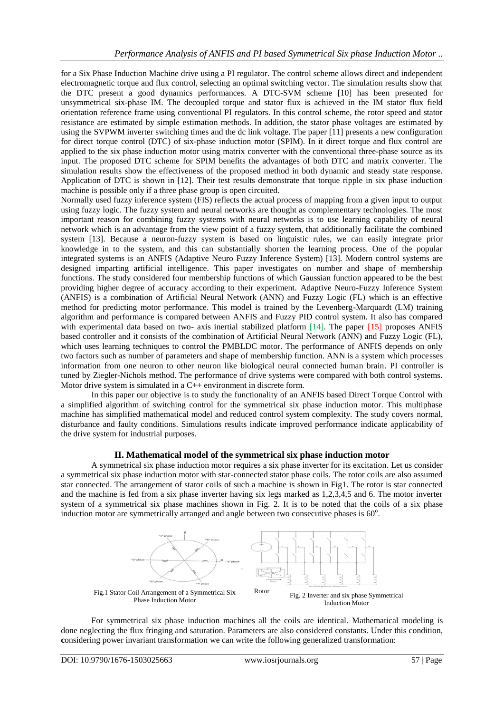for a Six Phase Induction Machine drive using a PI regulator. The control scheme allows direct and independent electromagnetic torque and flux control, selecting an optimal switching vector. The simulation results show that the DTC present a good dynamics performances. A DTC-SVM scheme [10] has been presented for unsymmetrical six-phase IM. The decoupled torque and stator flux is achieved in the IM stator flux field orientation reference frame using conventional PI regulators. In this control scheme, the rotor speed and stator resistance are estimated by simple estimation methods. In addition, the stator phase voltages are estimated by using the SVPWM inverter switching times and the dc link voltage. The paper [11] presents a new configuration for direct torque control (DTC) of six-phase induction motor (SPIM). In it direct torque and flux control are applied to the six phase induction motor using matrix converter with the conventional three-phase source as its input. The proposed DTC scheme for SPIM benefits the advantages of both DTC and matrix converter. The simulation results show the effectiveness of the proposed method in both dynamic and steady state response. Application of DTC is shown in [12]. Their test results demonstrate that torque ripple in six phase induction machine is possible only if a three phase group is open circuited.

Normally used fuzzy inference system (FIS) reflects the actual process of mapping from a given input to output using fuzzy logic. The fuzzy system and neural networks are thought as complementary technologies. The most important reason for combining fuzzy systems with neural networks is to use learning capability of neural network which is an advantage from the view point of a fuzzy system, that additionally facilitate the combined system [13]. Because a neuron-fuzzy system is based on linguistic rules, we can easily integrate prior knowledge in to the system, and this can substantially shorten the learning process. One of the popular integrated systems is an ANFIS (Adaptive Neuro Fuzzy Inference System) [13]. Modern control systems are designed imparting artificial intelligence. This paper investigates on number and shape of membership functions. The study considered four membership functions of which Gaussian function appeared to be the best providing higher degree of accuracy according to their experiment. Adaptive Neuro-Fuzzy Inference System (ANFIS) is a combination of Artificial Neural Network (ANN) and Fuzzy Logic (FL) which is an effective method for predicting motor performance. This model is trained by the Levenberg-Marquardt (LM) training algorithm and performance is compared between ANFIS and Fuzzy PID control system. It also has compared with experimental data based on two- axis inertial stabilized platform [14]. The paper [15] proposes ANFIS based controller and it consists of the combination of Artificial Neural Network (ANN) and Fuzzy Logic (FL), which uses learning techniques to control the PMBLDC motor. The performance of ANFIS depends on only two factors such as number of parameters and shape of membership function. ANN is a system which processes information from one neuron to other neuron like biological neural connected human brain. PI controller is tuned by Ziegler-Nichols method. The performance of drive systems were compared with both control systems. Motor drive system is simulated in a C++ environment in discrete form.

In this paper our objective is to study the functionality of an ANFIS based Direct Torque Control with a simplified algorithm of switching control for the symmetrical six phase induction motor. This multiphase machine has simplified mathematical model and reduced control system complexity. The study covers normal, disturbance and faulty conditions. Simulations results indicate improved performance indicate applicability of the drive system for industrial purposes.

## **II. Mathematical model of the symmetrical six phase induction motor**

A symmetrical six phase induction motor requires a six phase inverter for its excitation. Let us consider a symmetrical six phase induction motor with star-connected stator phase coils. The rotor coils are also assumed star connected. The arrangement of stator coils of such a machine is shown in Fig1. The rotor is star connected and the machine is fed from a six phase inverter having six legs marked as 1,2,3,4,5 and 6. The motor inverter system of a symmetrical six phase machines shown in Fig. 2. It is to be noted that the coils of a six phase induction motor are symmetrically arranged and angle between two consecutive phases is  $60^\circ$ .



For symmetrical six phase induction machines all the coils are identical. Mathematical modeling is done neglecting the flux fringing and saturation. Parameters are also considered constants. Under this condition, **c**onsidering power invariant transformation we can write the following generalized transformation: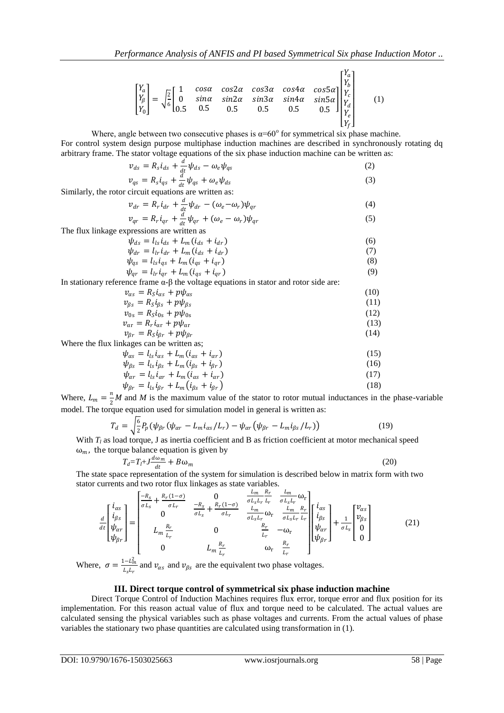$$
\begin{bmatrix} Y_a \\ Y_\beta \\ Y_0 \end{bmatrix} = \sqrt{\frac{2}{6}} \begin{bmatrix} 1 & \cos\alpha & \cos 2\alpha & \cos 3\alpha & \cos 4\alpha & \cos 5\alpha \\ 0 & \sin\alpha & \sin 2\alpha & \sin 3\alpha & \sin 4\alpha & \sin 5\alpha \\ 0.5 & 0.5 & 0.5 & 0.5 & 0.5 \end{bmatrix} \begin{bmatrix} Y_a \\ Y_b \\ Y_c \\ Y_d \\ Y_d \\ Y_f \end{bmatrix}
$$
 (1)

Where, angle between two consecutive phases is  $\alpha = 60^\circ$  for symmetrical six phase machine. For control system design purpose multiphase induction machines are described in synchronously rotating dq arbitrary frame. The stator voltage equations of the six phase induction machine can be written as:

$$
\nu_{ds} = R_s i_{ds} + \frac{d}{dt} \psi_{ds} - \omega_e \psi_{qs}
$$
\n
$$
\nu_{ds} = P_i i_{ds} + \frac{d}{dt} \psi_{ds} + \omega_e \psi_{qs}
$$
\n(2)

$$
\nu_{qs} = R_s i_{qs} + \frac{a}{dt} \psi_{qs} + \omega_e \psi_{ds}
$$
\n<sup>(3)</sup>

Similarly, the rotor circuit equations are written as:

$$
\nu_{dr} = R_r i_{dr} + \frac{d}{dt} \psi_{dr} - (\omega_e - \omega_r) \psi_{qr}
$$
\n
$$
\nu_{dr} = R_i i_{r-1} d_{r} \psi_{dr} + (\omega_r - \omega_r) \psi_{rr}
$$
\n(4)

$$
\nu_{qr} = R_r i_{qr} + \frac{u}{dt} \psi_{qr} + (\omega_e - \omega_r) \psi_{qr}
$$
\n<sup>(5)</sup>

The flux linkage expressions are written as

$$
\psi_{ds} = l_{ls} i_{ds} + L_m (i_{ds} + i_{dr}) \tag{6}
$$

$$
\psi_{dr} = l_{lr} i_{dr} + L_m (i_{ds} + i_{dr})
$$
\n(7)

$$
\psi_{qs} = l_{ls} i_{qs} + L_m (i_{qs} + i_{qr})
$$
\n
$$
\psi_{qr} = l_{lr} i_{qr} + L_m (i_{qs} + i_{qr})
$$
\n(8)

In stationary reference frame  $\alpha$ -β the voltage equations in stator and rotor side are:

$$
\begin{aligned}\n v_{\alpha s} &= R_{S} i_{\alpha s} + p \psi_{\alpha s} \\
v_{\beta s} &= R_{S} i_{\beta s} + p \psi_{\beta s} \\
v_{0s} &= R_{S} i_{0s} + p \psi_{0s} \\
v_{\alpha r} &= R_{r} i_{\alpha r} + p \psi_{\alpha r}\n \end{aligned}
$$
\n(10)\n(11)\n(12)\n(13)

$$
v_{\beta r} = R_S i_{\beta r} + p \psi_{\beta r}
$$
 (14)

Where the flux linkages can be written as;

$$
\psi_{\alpha s} = l_{ls} i_{\alpha s} + L_m (i_{\alpha s} + i_{\alpha r})
$$
\n
$$
\psi_{\beta s} = l_{ls} i_{\beta s} + L_m (i_{\beta s} + i_{\beta r})
$$
\n(15)

$$
\psi_{\alpha r} = l_{ls} i_{\alpha r} + L_m (i_{\alpha s} + i_{\alpha r})
$$
  
\n
$$
\psi_{\beta r} = l_{ls} i_{\beta r} + L_m (i_{\beta s} + i_{\beta r})
$$
\n(17)  
\n(18)

Where,  $L_m = \frac{n}{2}$  $\frac{n}{2}$  *M* and *M* is the maximum value of the stator to rotor mutual inductances in the phase-variable model. The torque equation used for simulation model in general is written as:

$$
T_d = \sqrt{\frac{6}{2}} P_p \left( \psi_{\beta r} \left( \psi_{\alpha r} - L_m i_{\alpha s} / L_r \right) - \psi_{\alpha r} \left( \psi_{\beta r} - L_m i_{\beta s} / L_r \right) \right) \tag{19}
$$

With  $T_l$  as load torque, J as inertia coefficient and B as friction coefficient at motor mechanical speed  $\omega_m$ , the torque balance equation is given by

$$
T_d = T_l + J \frac{d\omega_m}{dt} + B\omega_m \tag{20}
$$

The state space representation of the system for simulation is described below in matrix form with two stator currents and two rotor flux linkages as state variables.

$$
\frac{d}{dt} \begin{bmatrix} i_{\alpha s} \\ i_{\beta s} \\ \psi_{\beta r} \end{bmatrix} = \begin{bmatrix} \frac{-R_s}{\sigma L_s} + \frac{R_r(1-\sigma)}{\sigma L_r} & 0 & \frac{L_m}{\sigma L_s L_r} \frac{R_r}{L_r} & \frac{L_m}{\sigma L_s L_r} \omega_r \\ 0 & \frac{-R_s}{\sigma L_s} + \frac{R_r(1-\sigma)}{\sigma L_r} & \frac{L_m}{\sigma L_s L_r} \omega_r & \frac{L_m}{\sigma L_s L_r} \frac{R_r}{L_r} \\ L_m \frac{R_r}{L_r} & 0 & \frac{R_r}{L_r} & -\omega_r \\ 0 & L_m \frac{R_r}{L_r} & \omega_r & \frac{R_r}{L_r} \end{bmatrix} \begin{bmatrix} i_{\alpha s} \\ i_{\beta s} \\ i_{\beta s} \\ i_{\beta r} \end{bmatrix} + \frac{1}{\sigma L_s} \begin{bmatrix} v_{\alpha s} \\ v_{\beta s} \\ 0 \\ 0 \end{bmatrix}
$$
(21)

Where,  $\sigma = \frac{1 - L_m^2}{l_m}$  $\frac{u - u_m}{u_{s}}$  and  $v_{\alpha s}$  and  $v_{\beta s}$  are the equivalent two phase voltages.

## **III. Direct torque control of symmetrical six phase induction machine**

Direct Torque Control of Induction Machines requires flux error, torque error and flux position for its implementation. For this reason actual value of flux and torque need to be calculated. The actual values are calculated sensing the physical variables such as phase voltages and currents. From the actual values of phase variables the stationary two phase quantities are calculated using transformation in (1).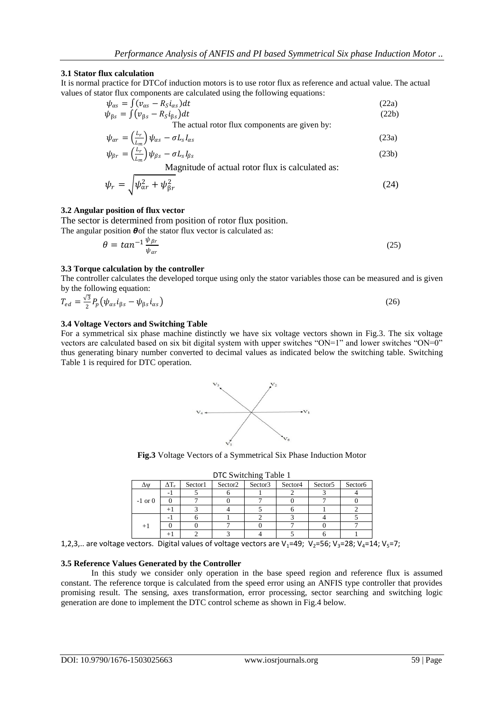## **3.1 Stator flux calculation**

It is normal practice for DTCof induction motors is to use rotor flux as reference and actual value. The actual values of stator flux components are calculated using the following equations:

$$
\psi_{as} = \int (v_{as} - R_S i_{as}) dt
$$
\n
$$
\psi_{\beta s} = \int (v_{\beta s} - R_S i_{\beta s}) dt
$$
\n(22a)\n(22b)

The actual rotor flux components are given by:  
\n
$$
\psi_{\alpha r} = \left(\frac{L_r}{L_m}\right) \psi_{\alpha s} - \sigma L_s I_{\alpha s}
$$
\n(23a)

$$
\psi_{\beta r} = \left(\frac{L_r}{L_m}\right)\psi_{\beta s} - \sigma L_s I_{\beta s} \tag{23b}
$$

Magnitude of actual rotor flux is calculated as:

$$
\psi_r = \sqrt{\psi_{\alpha r}^2 + \psi_{\beta r}^2} \tag{24}
$$

## **3.2 Angular position of flux vector**

The sector is determined from position of rotor flux position.<br>The angular position  $\theta$  of the states flux vector is calculated as: The angular

$$
\theta = \tan^{-1} \frac{\psi_{\beta r}}{\psi_{\alpha r}}
$$
 (25)

## **3.3 Torque calculation by the controller**

The controller calculates the developed torque using only the stator variables those can be measured and is given by the following equation:

$$
T_{ed} = \frac{\sqrt{3}}{2} P_p \left( \psi_{\alpha s} i_{\beta s} - \psi_{\beta s} i_{\alpha s} \right) \tag{26}
$$

## **3.4 Voltage Vectors and Switching Table**

For a symmetrical six phase machine distinctly we have six voltage vectors shown in Fig.3. The six voltage vectors are calculated based on six bit digital system with upper switches "ON=1" and lower switches "ON=0" thus generating binary number converted to decimal values as indicated below the switching table. Switching Table 1 is required for DTC operation.



**Fig.3** Voltage Vectors of a Symmetrical Six Phase Induction Motor

| Δψ          | $\Delta T_e$ | Sector1 | Sector2 | $\sim$<br>Sector3 | Sector4 | Sector <sub>5</sub> | Sector6 |
|-------------|--------------|---------|---------|-------------------|---------|---------------------|---------|
| $-1$ or $0$ |              |         |         |                   |         |                     |         |
|             |              |         |         |                   |         |                     |         |
|             |              |         |         |                   |         |                     |         |
| $+1$        |              |         |         |                   |         |                     |         |
|             |              |         |         |                   |         |                     |         |
|             |              |         |         |                   |         |                     |         |

DTC Switching Table 1

1,2,3,.. are voltage vectors. Digital values of voltage vectors are V<sub>1</sub>=49; V<sub>2</sub>=56; V<sub>3</sub>=28; V<sub>4</sub>=14; V<sub>5</sub>=7;

## **3.5 Reference Values Generated by the Controller**

In this study we consider only operation in the base speed region and reference flux is assumed constant. The reference torque is calculated from the speed error using an ANFIS type controller that provides promising result. The sensing, axes transformation, error processing, sector searching and switching logic generation are done to implement the DTC control scheme as shown in Fig.4 below.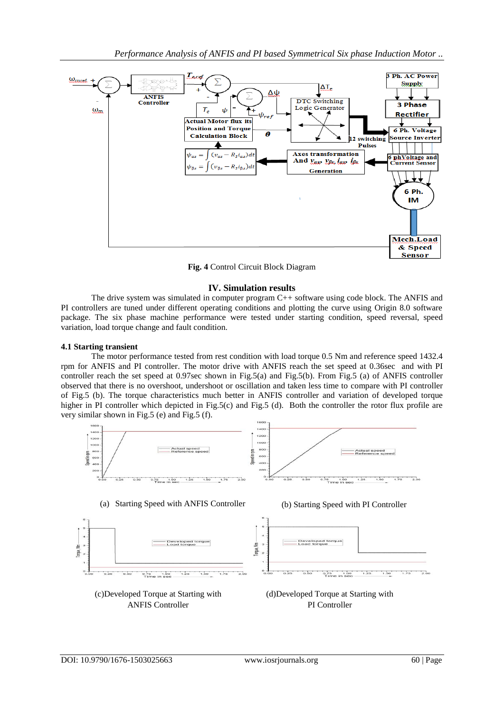

**Fig. 4** Control Circuit Block Diagram

## **IV. Simulation results**

The drive system was simulated in computer program C++ software using code block. The ANFIS and PI controllers are tuned under different operating conditions and plotting the curve using Origin 8.0 software package. The six phase machine performance were tested under starting condition, speed reversal, speed variation, load torque change and fault condition.

## **4.1 Starting transient**

The motor performance tested from rest condition with load torque 0.5 Nm and reference speed 1432.4 rpm for ANFIS and PI controller. The motor drive with ANFIS reach the set speed at 0.36sec and with PI controller reach the set speed at 0.97sec shown in Fig.5(a) and Fig.5(b). From Fig.5 (a) of ANFIS controller observed that there is no overshoot, undershoot or oscillation and taken less time to compare with PI controller of Fig.5 (b). The torque characteristics much better in ANFIS controller and variation of developed torque higher in PI controller which depicted in Fig.5(c) and Fig.5 (d). Both the controller the rotor flux profile are very similar shown in Fig.5 (e) and Fig.5 (f).

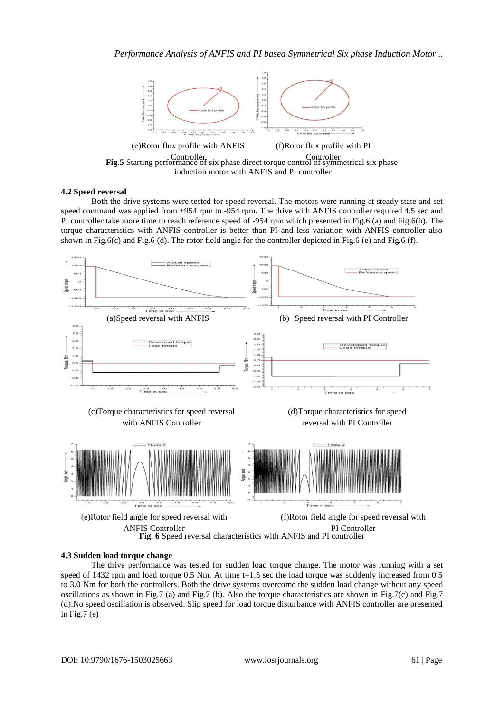

induction motor with ANFIS and PI controller

## **4.2 Speed reversal**

Both the drive systems were tested for speed reversal. The motors were running at steady state and set speed command was applied from +954 rpm to -954 rpm. The drive with ANFIS controller required 4.5 sec and PI controller take more time to reach reference speed of -954 rpm which presented in Fig.6 (a) and Fig.6(b). The torque characteristics with ANFIS controller is better than PI and less variation with ANFIS controller also shown in Fig.6(c) and Fig.6 (d). The rotor field angle for the controller depicted in Fig.6 (e) and Fig.6 (f).



## **4.3 Sudden load torque change**

The drive performance was tested for sudden load torque change. The motor was running with a set speed of 1432 rpm and load torque  $0.5$  Nm. At time t=1.5 sec the load torque was suddenly increased from  $0.5$ to 3.0 Nm for both the controllers. Both the drive systems overcome the sudden load change without any speed oscillations as shown in Fig.7 (a) and Fig.7 (b). Also the torque characteristics are shown in Fig.7(c) and Fig.7 (d).No speed oscillation is observed. Slip speed for load torque disturbance with ANFIS controller are presented in Fig.7 $(e)$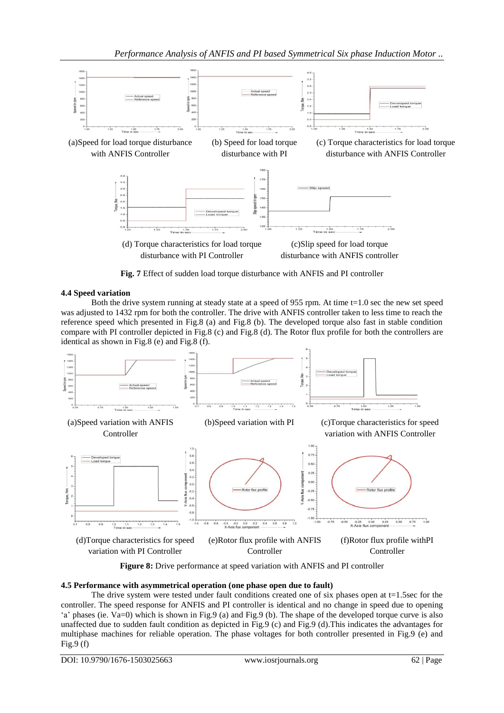

**Fig. 7** Effect of sudden load torque disturbance with ANFIS and PI controller

## **4.4 Speed variation**

Both the drive system running at steady state at a speed of 955 rpm. At time t=1.0 sec the new set speed was adjusted to 1432 rpm for both the controller. The drive with ANFIS controller taken to less time to reach the reference speed which presented in Fig.8 (a) and Fig.8 (b). The developed torque also fast in stable condition compare with PI controller depicted in Fig.8 (c) and Fig.8 (d). The Rotor flux profile for both the controllers are identical as shown in Fig.8 (e) and Fig.8 (f).



**Figure 8:** Drive performance at speed variation with ANFIS and PI controller

## **4.5 Performance with asymmetrical operation (one phase open due to fault)**

The drive system were tested under fault conditions created one of six phases open at  $t=1.5$ sec for the controller. The speed response for ANFIS and PI controller is identical and no change in speed due to opening "a" phases (ie. Va=0) which is shown in Fig.9 (a) and Fig.9 (b). The shape of the developed torque curve is also unaffected due to sudden fault condition as depicted in Fig.9 (c) and Fig.9 (d).This indicates the advantages for multiphase machines for reliable operation. The phase voltages for both controller presented in Fig.9 (e) and Fig.9 $(f)$